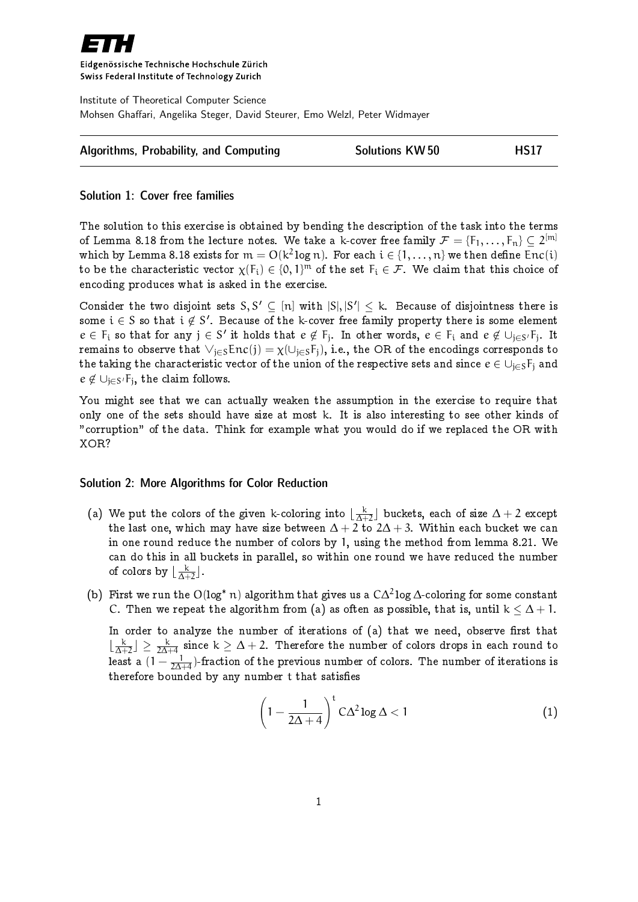

Eidgenössische Technische Hochschule Zürich Swiss Federal Institute of Technology Zurich

Institute of Theoretical Computer Science Mohsen Ghaffari, Angelika Steger, David Steurer, Emo Welzl, Peter Widmayer

| Algorithms, Probability, and Computing | <b>Solutions KW50</b> | <b>HS17</b> |
|----------------------------------------|-----------------------|-------------|
|----------------------------------------|-----------------------|-------------|

## Solution 1: Cover free families

The solution to this exercise is obtained by bending the description of the task into the terms of Lemma 8.18 from the lecture notes. We take a k-cover free family  $\mathcal{F}=\{\mathsf{F}_1,\ldots,\mathsf{F}_n\}\subseteq 2^{[{\mathsf{m}}]}$ which by Lemma 8.18 exists for  $\mathfrak{m}=\mathrm{O}(\mathsf{k}^2\log n).$  For each  $\mathfrak{i}\in\{1,\ldots,\mathfrak{n}\}$  we then define En $\mathfrak{c}(\mathfrak{i})$ to be the characteristic vector  $\chi(\mathsf{F_i}) \in \{0, 1\}^{\mathsf{m}}$  of the set  $\mathsf{F_i} \in \mathcal{F}.$  We claim that this choice of encoding produces what is asked in the exercise.

Consider the two disjoint sets  $S, S' \subseteq [n]$  with  $|S|, |S'| \le k$ . Because of disjointness there is some  $\mathfrak{i}\in \mathcal{S}$  so that  $\mathfrak{i}\not\in \mathcal{S}'$ . Because of the k-cover free family property there is some element  $e\in F_i$  so that for any  $j\in S'$  it holds that  $e\not\in F_j$ . In other words,  $e\in F_i$  and  $e\not\in \cup_{j\in S'}F_j$ . It remains to observe that  $\vee_{j\in S}Enc(j) = \chi(\cup_{j\in S}F_j)$ , i.e., the OR of the encodings corresponds to the taking the characteristic vector of the union of the respective sets and since  $e \in \cup_{j\in S}F_j$  and  $e \not\in \cup_{j\in S'} F_j$ , the claim follows.

You might see that we can actually weaken the assumption in the exercise to require that only one of the sets should have size at most k. It is also interesting to see other kinds of "corruption" of the data. Think for example what you would do if we replaced the OR with XOR?

## Solution 2: More Algorithms for Color Reduction

- (a) We put the colors of the given k-coloring into  $\lfloor \frac{k}{\Delta+1} \rfloor$  $\frac{\kappa}{\Delta+2}$ ] buckets, each of size  $\Delta+2$  except the last one, which may have size between  $\Delta + 2$  to  $2\Delta + 3$ . Within each bucket we can in one round reduce the number of colors by 1, using the method from lemma 8.21. We can do this in all buckets in parallel, so within one round we have reduced the number of colors by  $\lfloor \frac{k}{\Lambda+1} \rfloor$  $\frac{\kappa}{\Delta+2}$ .
- (b) First we run the O(log<sup>\*</sup> n) algorithm that gives us a  $C\Delta^2$  log  $\Delta$ -coloring for some constant C. Then we repeat the algorithm from (a) as often as possible, that is, until  $k < \Delta + 1$ .

In order to analyze the number of iterations of  $(a)$  that we need, observe first that  $\frac{k}{\Lambda^{\perp}}$  $\frac{\textsf{k}}{\Delta+2}$   $\rfloor \geq \frac{\textsf{k}}{2\Delta+4}$  since  $\textsf{k} \geq \Delta+2$ . Therefore the number of colors drops in each round to least a (1  $-\frac{1}{2\Delta}$  $\frac{1}{2\Delta+4}$ )-fraction of the previous number of colors. The number of iterations is therefore bounded by any number t that satisfies

<span id="page-0-0"></span>
$$
\left(1 - \frac{1}{2\Delta + 4}\right)^t C\Delta^2 \log \Delta < 1
$$
 (1)